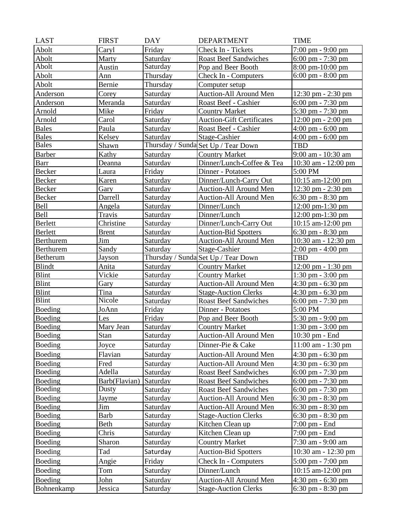| <b>LAST</b>    | <b>FIRST</b>  | <b>DAY</b> | <b>DEPARTMENT</b>                   | <b>TIME</b>                          |
|----------------|---------------|------------|-------------------------------------|--------------------------------------|
| <b>Abolt</b>   | Caryl         | Friday     | Check In - Tickets                  | 7:00 pm - 9:00 pm                    |
| Abolt          | Marty         | Saturday   | <b>Roast Beef Sandwiches</b>        | $6:00 \text{ pm} - 7:30 \text{ pm}$  |
| Abolt          | Austin        | Saturday   | Pop and Beer Booth                  | 8:00 pm-10:00 pm                     |
| Abolt          | Ann           | Thursday   | Check In - Computers                | $6:00 \text{ pm} - 8:00 \text{ pm}$  |
| Abolt          | Bernie        | Thursday   | Computer setup                      |                                      |
| Anderson       | Corey         | Saturday   | Auction-All Around Men              | $12:30 \text{ pm} - 2:30 \text{ pm}$ |
| Anderson       | Meranda       | Saturday   | Roast Beef - Cashier                | $6:00 \text{ pm} - 7:30 \text{ pm}$  |
| Arnold         | Mike          | Friday     | <b>Country Market</b>               | 5:30 pm - 7:30 pm                    |
| Arnold         | Carol         | Saturday   | <b>Auction-Gift Certificates</b>    | $12:00 \text{ pm} - 2:00 \text{ pm}$ |
| <b>Bales</b>   | Paula         | Saturday   | Roast Beef - Cashier                | $4:00 \text{ pm} - 6:00 \text{ pm}$  |
| <b>Bales</b>   | Kelsey        | Saturday   | Stage-Cashier                       | $4:00 \text{ pm} - 6:00 \text{ pm}$  |
| <b>Bales</b>   | Shawn         |            | Thursday / Sunda Set Up / Tear Down | <b>TBD</b>                           |
| <b>Barber</b>  | Kathy         | Saturday   | <b>Country Market</b>               | 9:00 am - 10:30 am                   |
| <b>Barr</b>    | Deanna        | Saturday   | Dinner/Lunch-Coffee & Tea           | $10:30$ am $-12:00$ pm               |
| Becker         | Laura         | Friday     | Dinner - Potatoes                   | 5:00 PM                              |
| Becker         | Karen         | Saturday   | Dinner/Lunch-Carry Out              | 10:15 am-12:00 pm                    |
| Becker         | Gary          | Saturday   | Auction-All Around Men              | $12:30 \text{ pm} - 2:30 \text{ pm}$ |
| Becker         | Darrell       | Saturday   | Auction-All Around Men              | $6:30 \text{ pm} - 8:30 \text{ pm}$  |
| Bell           | Angela        | Saturday   | Dinner/Lunch                        | $12:00 \text{ pm-}1:30 \text{ pm}$   |
| <b>Bell</b>    | Travis        | Saturday   | Dinner/Lunch                        | $12:00 \text{ pm-}1:30 \text{ pm}$   |
| Berlett        | Christine     | Saturday   | Dinner/Lunch-Carry Out              | $10:15$ am- $12:00$ pm               |
| <b>Berlett</b> | <b>Brent</b>  | Saturday   | <b>Auction-Bid Spotters</b>         | $6:30 \text{ pm} - 8:30 \text{ pm}$  |
| Berthurem      | Jim           | Saturday   | Auction-All Around Men              | 10:30 am - 12:30 pm                  |
| Berthurem      | Sandy         | Saturday   | Stage-Cashier                       | $2:00 \text{ pm} - 4:00 \text{ pm}$  |
| Betherum       | Jayson        |            | Thursday / Sunda Set Up / Tear Down | <b>TBD</b>                           |
| <b>Blindt</b>  | Anita         | Saturday   | <b>Country Market</b>               | $12:00 \text{ pm} - 1:30 \text{ pm}$ |
| <b>Blint</b>   | Vickie        | Saturday   | <b>Country Market</b>               | $1:30 \text{ pm} - 3:00 \text{ pm}$  |
| Blint          | Gary          | Saturday   | Auction-All Around Men              | $4:30 \text{ pm} - 6:30 \text{ pm}$  |
| <b>Blint</b>   | Tina          | Saturday   | <b>Stage-Auction Clerks</b>         | $4:30 \text{ pm} - 6:30 \text{ pm}$  |
| Blint          | Nicole        | Saturday   | <b>Roast Beef Sandwiches</b>        | $6:00 \text{ pm} - 7:30 \text{ pm}$  |
| Boeding        | JoAnn         | Friday     | Dinner - Potatoes                   | 5:00 PM                              |
| Boeding        | Les           | Friday     | Pop and Beer Booth                  | 5:30 pm - 9:00 pm                    |
| Boeding        | Mary Jean     | Saturday   | <b>Country Market</b>               | $1:30 \text{ pm} - 3:00 \text{ pm}$  |
| Boeding        | Stan          | Saturday   | Auction-All Around Men              | 10:30 pm - End                       |
| Boeding        | Joyce         | Saturday   | Dinner-Pie & Cake                   | 11:00 am - 1:30 pm                   |
| Boeding        | Flavian       | Saturday   | Auction-All Around Men              | $4:30$ pm $-6:30$ pm                 |
| Boeding        | Fred          | Saturday   | Auction-All Around Men              | $4:30 \text{ pm} - 6:30 \text{ pm}$  |
| Boeding        | Adella        | Saturday   | <b>Roast Beef Sandwiches</b>        | $6:00 \text{ pm} - 7:30 \text{ pm}$  |
| Boeding        | Barb(Flavian) | Saturday   | <b>Roast Beef Sandwiches</b>        | $6:00 \text{ pm} - 7:30 \text{ pm}$  |
| Boeding        | Dusty         | Saturday   | <b>Roast Beef Sandwiches</b>        | $6:00 \text{ pm} - 7:30 \text{ pm}$  |
| Boeding        | Jayme         | Saturday   | Auction-All Around Men              | $6:30$ pm $-8:30$ pm                 |
| <b>Boeding</b> | Jim           | Saturday   | Auction-All Around Men              | $6:30 \text{ pm} - 8:30 \text{ pm}$  |
| Boeding        | Barb          | Saturday   | <b>Stage-Auction Clerks</b>         | $6:30 \text{ pm} - 8:30 \text{ pm}$  |
| Boeding        | Beth          | Saturday   | Kitchen Clean up                    | 7:00 pm - End                        |
| Boeding        | Chris         | Saturday   | Kitchen Clean up                    | 7:00 pm - End                        |
| Boeding        | Sharon        | Saturday   | <b>Country Market</b>               | 7:30 am - 9:00 am                    |
| Boeding        | Tad           | Saturday   | <b>Auction-Bid Spotters</b>         | 10:30 am - 12:30 pm                  |
| Boeding        |               | Friday     |                                     |                                      |
|                | Angie         |            | Check In - Computers                | 5:00 pm - 7:00 pm                    |
| Boeding        | Tom           | Saturday   | Dinner/Lunch                        | 10:15 am-12:00 pm                    |
| Boeding        | John          | Saturday   | Auction-All Around Men              | $4:30 \text{ pm} - 6:30 \text{ pm}$  |
| Bohnenkamp     | Jessica       | Saturday   | <b>Stage-Auction Clerks</b>         | 6:30 pm - 8:30 pm                    |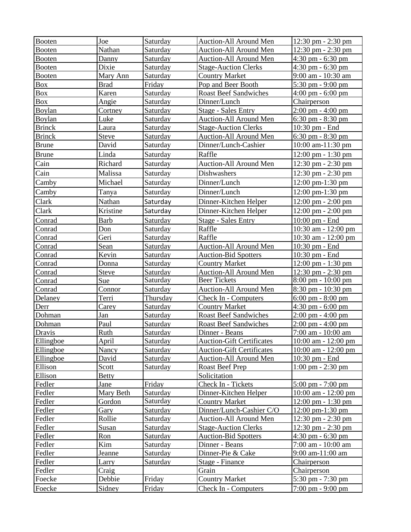| <b>Booten</b>    | Joe            | Saturday             | Auction-All Around Men                               | $12:30 \text{ pm} - 2:30 \text{ pm}$     |
|------------------|----------------|----------------------|------------------------------------------------------|------------------------------------------|
| Booten           | Nathan         | Saturday             | Auction-All Around Men                               | 12:30 pm - 2:30 pm                       |
| <b>Booten</b>    | Danny          | Saturday             | <b>Auction-All Around Men</b>                        | 4:30 pm - 6:30 pm                        |
| <b>Booten</b>    | Dixie          | Saturday             | <b>Stage-Auction Clerks</b>                          | $4:30$ pm - 6:30 pm                      |
| Booten           | Mary Ann       | Saturday             | <b>Country Market</b>                                | 9:00 am - 10:30 am                       |
| <b>Box</b>       | <b>Brad</b>    | Friday               | Pop and Beer Booth                                   | 5:30 pm - 9:00 pm                        |
| <b>Box</b>       | Karen          | Saturday             | <b>Roast Beef Sandwiches</b>                         | $4:00 \text{ pm} - 6:00 \text{ pm}$      |
| Box              | Angie          | Saturday             | Dinner/Lunch                                         | Chairperson                              |
| Boylan           | Cortney        | Saturday             | <b>Stage - Sales Entry</b>                           | $2:00 \text{ pm} - 4:00 \text{ pm}$      |
| Boylan           | Luke           | Saturday             | Auction-All Around Men                               | $6:30 \text{ pm} - 8:30 \text{ pm}$      |
| <b>Brinck</b>    | Laura          | Saturday             | <b>Stage-Auction Clerks</b>                          | 10:30 pm - End                           |
| <b>Brinck</b>    | <b>Steve</b>   | Saturday             | Auction-All Around Men                               | $6:30 \text{ pm} - 8:30 \text{ pm}$      |
| <b>Brune</b>     | David          | Saturday             | Dinner/Lunch-Cashier                                 | 10:00 am-11:30 pm                        |
| <b>Brune</b>     | Linda          | Saturday             | Raffle                                               | $12:00 \text{ pm} - 1:30 \text{ pm}$     |
| Cain             | Richard        | Saturday             | <b>Auction-All Around Men</b>                        | 12:30 pm - 2:30 pm                       |
| Cain             | Malissa        | Saturday             | Dishwashers                                          | $12:30 \text{ pm} - 2:30 \text{ pm}$     |
| Camby            | Michael        | Saturday             | Dinner/Lunch                                         | 12:00 pm-1:30 pm                         |
| Camby            | Tanya          | Saturday             | Dinner/Lunch                                         | 12:00 pm-1:30 pm                         |
| Clark            | Nathan         | Saturday             | Dinner-Kitchen Helper                                | $12:00 \text{ pm} - 2:00 \text{ pm}$     |
| Clark            | Kristine       | Saturday             | Dinner-Kitchen Helper                                | $12:00 \text{ pm} - 2:00 \text{ pm}$     |
|                  |                | Saturday             |                                                      |                                          |
| Conrad           | <b>Barb</b>    |                      | <b>Stage - Sales Entry</b>                           | $10:00$ pm - End                         |
| Conrad           | Don            | Saturday             | Raffle                                               | 10:30 am - 12:00 pm                      |
| Conrad           | Geri           | Saturday             | Raffle                                               | 10:30 am - 12:00 pm                      |
| Conrad           | Sean           | Saturday             | Auction-All Around Men                               | 10:30 pm - End                           |
| Conrad           | Kevin<br>Donna | Saturday<br>Saturday | <b>Auction-Bid Spotters</b><br><b>Country Market</b> | $10:30$ pm $-$ End<br>12:00 pm - 1:30 pm |
| Conrad<br>Conrad | Steve          | Saturday             | Auction-All Around Men                               | 12:30 pm - 2:30 pm                       |
| Conrad           | Sue            | Saturday             | <b>Beer Tickets</b>                                  | 8:00 pm - 10:00 pm                       |
| Conrad           | Connor         | Saturday             | Auction-All Around Men                               | 8:30 pm - 10:30 pm                       |
| Delaney          | Terri          | Thursday             | Check In - Computers                                 | $6:00 \text{ pm} - 8:00 \text{ pm}$      |
| Derr             | Carey          | Saturday             | <b>Country Market</b>                                | $4:30$ pm $-6:00$ pm                     |
| Dohman           | Jan            | Saturday             | <b>Roast Beef Sandwiches</b>                         | $2:00 \text{ pm} - 4:00 \text{ pm}$      |
| Dohman           | Paul           | Saturday             | <b>Roast Beef Sandwiches</b>                         | $2:00 \text{ pm} - 4:00 \text{ pm}$      |
| Dravis           | Ruth           | Saturday             | Dinner - Beans                                       | 7:00 am - 10:00 am                       |
| Ellingboe        | April          | Saturday             | <b>Auction-Gift Certificates</b>                     | 10:00 am - 12:00 pm                      |
| Ellingboe        | Nancy          | Saturday             | <b>Auction-Gift Certificates</b>                     | 10:00 am - 12:00 pm                      |
| Ellingboe        | David          | Saturday             | Auction-All Around Men                               | 10:30 pm - End                           |
| Ellison          | Scott          | Saturday             | Roast Beef Prep                                      | $1:00 \text{ pm} - 2:30 \text{ pm}$      |
| Ellison          | <b>Betty</b>   |                      | Solicitation                                         |                                          |
| Fedler           | Jane           | Friday               | Check In - Tickets                                   | $5:00 \text{ pm} - 7:00 \text{ pm}$      |
| Fedler           | Mary Beth      | Saturday             | Dinner-Kitchen Helper                                | 10:00 am - 12:00 pm                      |
| Fedler           | Gordon         | Saturday             | <b>Country Market</b>                                | $12:00 \text{ pm} - 1:30 \text{ pm}$     |
| Fedler           | Gary           | Saturday             | Dinner/Lunch-Cashier C/O                             | $12:00 \text{ pm-}1:30 \text{ pm}$       |
| Fedler           | Rollie         | Saturday             | Auction-All Around Men                               | $12:30 \text{ pm} - 2:30 \text{ pm}$     |
| Fedler           | Susan          | Saturday             | <b>Stage-Auction Clerks</b>                          | $12:30 \text{ pm} - 2:30 \text{ pm}$     |
| Fedler           | Ron            | Saturday             | <b>Auction-Bid Spotters</b>                          | $4:30$ pm - 6:30 pm                      |
| Fedler           | Kim            | Saturday             | Dinner - Beans                                       | 7:00 am - 10:00 am                       |
| Fedler           | Jeanne         | Saturday             | Dinner-Pie & Cake                                    | 9:00 am-11:00 am                         |
| Fedler           | Larry          | Saturday             | Stage - Finance                                      | Chairperson                              |
| Fedler           | Craig          |                      | Grain                                                | Chairperson                              |
| Foecke           | Debbie         | Friday               | <b>Country Market</b>                                | 5:30 pm - 7:30 pm                        |
| Foecke           | Sidney         | Friday               | Check In - Computers                                 | 7:00 pm - 9:00 pm                        |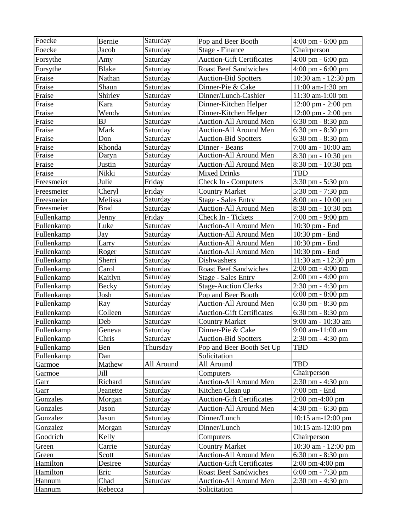| Foecke     | Bernie       | Saturday   | Pop and Beer Booth               | $4:00 \text{ pm} - 6:00 \text{ pm}$  |
|------------|--------------|------------|----------------------------------|--------------------------------------|
| Foecke     | Jacob        | Saturday   | Stage - Finance                  | Chairperson                          |
| Forsythe   | Amy          | Saturday   | <b>Auction-Gift Certificates</b> | 4:00 pm - 6:00 pm                    |
| Forsythe   | <b>Blake</b> | Saturday   | <b>Roast Beef Sandwiches</b>     | 4:00 pm - 6:00 pm                    |
| Fraise     | Nathan       | Saturday   | <b>Auction-Bid Spotters</b>      | 10:30 am - 12:30 pm                  |
| Fraise     | Shaun        | Saturday   | Dinner-Pie & Cake                | 11:00 am-1:30 pm                     |
| Fraise     | Shirley      | Saturday   | Dinner/Lunch-Cashier             | 11:30 am-1:00 pm                     |
| Fraise     | Kara         | Saturday   | Dinner-Kitchen Helper            | $12:00 \text{ pm} - 2:00 \text{ pm}$ |
| Fraise     | Wendy        | Saturday   | Dinner-Kitchen Helper            | $12:00 \text{ pm} - 2:00 \text{ pm}$ |
| Fraise     | BJ           | Saturday   | <b>Auction-All Around Men</b>    | $6:30 \text{ pm} - 8:30 \text{ pm}$  |
| Fraise     | Mark         | Saturday   | <b>Auction-All Around Men</b>    | 6:30 pm - 8:30 pm                    |
| Fraise     | Don          | Saturday   | <b>Auction-Bid Spotters</b>      | $6:30 \text{ pm} - 8:30 \text{ pm}$  |
| Fraise     | Rhonda       | Saturday   | Dinner - Beans                   | 7:00 am - 10:00 am                   |
| Fraise     | Daryn        | Saturday   | Auction-All Around Men           | 8:30 pm - 10:30 pm                   |
| Fraise     | Justin       | Saturday   | Auction-All Around Men           | $8:30 \text{ pm} - 10:30 \text{ pm}$ |
| Fraise     | Nikki        | Saturday   | <b>Mixed Drinks</b>              | <b>TBD</b>                           |
| Freesmeier | Julie        | Friday     | Check In - Computers             | 3:30 pm - 5:30 pm                    |
| Freesmeier | Cheryl       | Friday     | <b>Country Market</b>            | 5:30 pm - 7:30 pm                    |
| Freesmeier | Melissa      | Saturday   | <b>Stage - Sales Entry</b>       | 8:00 pm - 10:00 pm                   |
| Freesmeier | <b>Brad</b>  | Saturday   | <b>Auction-All Around Men</b>    | 8:30 pm - 10:30 pm                   |
| Fullenkamp | Jenny        | Friday     | Check In - Tickets               | $7:00 \text{ pm} - 9:00 \text{ pm}$  |
| Fullenkamp | Luke         | Saturday   | <b>Auction-All Around Men</b>    | 10:30 pm - End                       |
| Fullenkamp | Jay          | Saturday   | <b>Auction-All Around Men</b>    | 10:30 pm - End                       |
| Fullenkamp | Larry        | Saturday   | Auction-All Around Men           | 10:30 pm - End                       |
| Fullenkamp | Roger        | Saturday   | Auction-All Around Men           | 10:30 pm - End                       |
| Fullenkamp | Sherri       | Saturday   | Dishwashers                      | 11:30 am - 12:30 pm                  |
| Fullenkamp | Carol        | Saturday   | <b>Roast Beef Sandwiches</b>     | 2:00 pm - 4:00 pm                    |
| Fullenkamp | Kaitlyn      | Saturday   | <b>Stage - Sales Entry</b>       | $2:00 \text{ pm} - 4:00 \text{ pm}$  |
| Fullenkamp | Becky        | Saturday   | <b>Stage-Auction Clerks</b>      | 2:30 pm - 4:30 pm                    |
| Fullenkamp | Josh         | Saturday   | Pop and Beer Booth               | $6:00 \text{ pm} - 8:00 \text{ pm}$  |
| Fullenkamp | Ray          | Saturday   | Auction-All Around Men           | $6:30 \text{ pm} - 8:30 \text{ pm}$  |
| Fullenkamp | Colleen      | Saturday   | <b>Auction-Gift Certificates</b> | $6:30$ pm $-8:30$ pm                 |
| Fullenkamp | Deb          | Saturday   | <b>Country Market</b>            | 9:00 am - 10:30 am                   |
| Fullenkamp | Geneva       | Saturday   | Dinner-Pie & Cake                | 9:00 am-11:00 am                     |
| Fullenkamp | Chris        | Saturday   | <b>Auction-Bid Spotters</b>      | 2:30 pm - 4:30 pm                    |
| Fullenkamp | Ben          | Thursday   | Pop and Beer Booth Set Up        | <b>TBD</b>                           |
| Fullenkamp | Dan          |            | Solicitation                     |                                      |
| Garmoe     | Mathew       | All Around | All Around                       | <b>TBD</b>                           |
| Garmoe     | Jill         |            | Computers                        | Chairperson                          |
| Garr       | Richard      | Saturday   | Auction-All Around Men           | $2:30 \text{ pm} - 4:30 \text{ pm}$  |
| Garr       | Jeanette     | Saturday   | Kitchen Clean up                 | 7:00 pm - End                        |
| Gonzales   | Morgan       | Saturday   | <b>Auction-Gift Certificates</b> | $2:00 \text{ pm}-4:00 \text{ pm}$    |
| Gonzales   | Jason        | Saturday   | Auction-All Around Men           | 4:30 pm - 6:30 pm                    |
| Gonzalez   | Jason        | Saturday   | Dinner/Lunch                     | 10:15 am-12:00 pm                    |
| Gonzalez   | Morgan       | Saturday   | Dinner/Lunch                     | 10:15 am-12:00 pm                    |
| Goodrich   | Kelly        |            | Computers                        | Chairperson                          |
| Green      | Carrie       | Saturday   | <b>Country Market</b>            | 10:30 am - 12:00 pm                  |
| Green      | Scott        | Saturday   | Auction-All Around Men           | $6:30$ pm $-8:30$ pm                 |
| Hamilton   | Desiree      | Saturday   | <b>Auction-Gift Certificates</b> | $2:00 \text{ pm}-4:00 \text{ pm}$    |
| Hamilton   | Eric         | Saturday   | <b>Roast Beef Sandwiches</b>     | $6:00 \text{ pm} - 7:30 \text{ pm}$  |
| Hannum     | Chad         | Saturday   | Auction-All Around Men           | 2:30 pm - 4:30 pm                    |
| Hannum     | Rebecca      |            | Solicitation                     |                                      |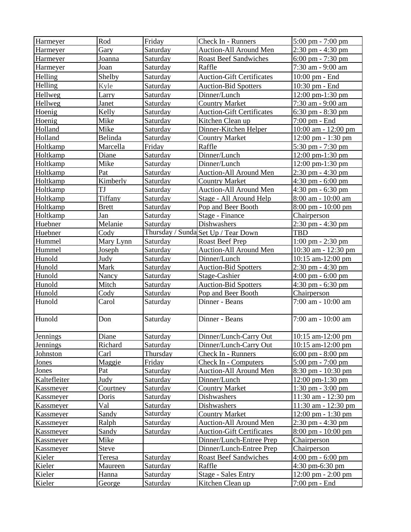| Harmeyer                    | Rod             | Friday               | Check In - Runners                               | 5:00 pm - 7:00 pm                                     |
|-----------------------------|-----------------|----------------------|--------------------------------------------------|-------------------------------------------------------|
| Harmeyer                    | Gary            | Saturday             | Auction-All Around Men                           | 2:30 pm - 4:30 pm                                     |
| Harmeyer                    | Joanna          | Saturday             | <b>Roast Beef Sandwiches</b>                     | $6:00 \text{ pm} - 7:30 \text{ pm}$                   |
| Harmeyer                    | Joan            | Saturday             | Raffle                                           | 7:30 am - 9:00 am                                     |
| Helling                     | Shelby          | Saturday             | <b>Auction-Gift Certificates</b>                 | $10:00 \text{ pm}$ - End                              |
| Helling                     | Kyle            | Saturday             | <b>Auction-Bid Spotters</b>                      | 10:30 pm - End                                        |
| Hellweg                     | Larry           | Saturday             | Dinner/Lunch                                     | 12:00 pm-1:30 pm                                      |
| Hellweg                     | Janet           | Saturday             | <b>Country Market</b>                            | 7:30 am - 9:00 am                                     |
| Hoenig                      | Kelly           | Saturday             | <b>Auction-Gift Certificates</b>                 | $6:30 \text{ pm} - 8:30 \text{ pm}$                   |
| Hoenig                      | Mike            | Saturday             | Kitchen Clean up                                 | 7:00 pm - End                                         |
| Holland                     | Mike            | Saturday             | Dinner-Kitchen Helper                            | $10:00$ am - $12:00$ pm                               |
| Holland                     | Belinda         | Saturday             | Country Market                                   | 12:00 pm - 1:30 pm                                    |
| Holtkamp                    | Marcella        | Friday               | Raffle                                           | 5:30 pm - 7:30 pm                                     |
| Holtkamp                    | Diane           | Saturday             | Dinner/Lunch                                     | 12:00 pm-1:30 pm                                      |
| Holtkamp                    | Mike            | Saturday             | Dinner/Lunch                                     | 12:00 pm-1:30 pm                                      |
| Holtkamp                    | Pat             | Saturday             | <b>Auction-All Around Men</b>                    | 2:30 pm - 4:30 pm                                     |
| Holtkamp                    | Kimberly        | Saturday             | <b>Country Market</b>                            | 4:30 pm - $6:00$ pm                                   |
| Holtkamp                    | TJ              | Saturday             | Auction-All Around Men                           | $4:30$ pm $-6:30$ pm                                  |
| Holtkamp                    | Tiffany         | Saturday             | Stage - All Around Help                          | 8:00 am - 10:00 am                                    |
| Holtkamp                    | <b>Brett</b>    | Saturday             | Pop and Beer Booth                               | 8:00 pm - 10:00 pm                                    |
| Holtkamp                    | Jan             | Saturday             | Stage - Finance                                  | Chairperson                                           |
| Huebner                     | Melanie         | Saturday             | Dishwashers                                      | 2:30 pm - 4:30 pm                                     |
| Huebner                     | Cody            |                      | Thursday / Sunda Set Up / Tear Down              | <b>TBD</b>                                            |
| Hummel                      | Mary Lynn       | Saturday             | Roast Beef Prep                                  | $1:00 \text{ pm} - 2:30 \text{ pm}$                   |
| Hummel                      | Joseph          | Saturday             | Auction-All Around Men                           | 10:30 am - 12:30 pm                                   |
| Hunold                      | Judy            | Saturday             | Dinner/Lunch                                     | $10:15$ am- $12:00$ pm                                |
| Hunold                      | Mark            | Saturday             | <b>Auction-Bid Spotters</b>                      | 2:30 pm - 4:30 pm                                     |
| Hunold                      | Nancy           | Saturday             | Stage-Cashier                                    | $4:00 \text{ pm} - 6:00 \text{ pm}$                   |
| Hunold                      | Mitch           | Saturday             | <b>Auction-Bid Spotters</b>                      | 4:30 pm - 6:30 pm                                     |
| Hunold                      | Cody            | Saturday             | Pop and Beer Booth                               | Chairperson                                           |
| Hunold                      | Carol           | Saturday             | Dinner - Beans                                   | 7:00 am - 10:00 am                                    |
| Hunold                      |                 |                      |                                                  |                                                       |
|                             | Don             | Saturday             | Dinner - Beans                                   | 7:00 am - 10:00 am                                    |
|                             | Diane           |                      |                                                  |                                                       |
| Jennings<br><b>Jennings</b> | Richard         | Saturday             | Dinner/Lunch-Carry Out<br>Dinner/Lunch-Carry Out | 10:15 am-12:00 pm<br>$10:15$ am- $12:00$ pm           |
| Johnston                    | Carl            | Saturday<br>Thursday | Check In - Runners                               | $6:00 \text{ pm} - 8:00 \text{ pm}$                   |
| Jones                       | Maggie          | Friday               | Check In - Computers                             | $5:00 \text{ pm} - 7:00 \text{ pm}$                   |
| Jones                       | Pat             | Saturday             | Auction-All Around Men                           | 8:30 pm - 10:30 pm                                    |
| Kaltefleiter                | Judy            | Saturday             | Dinner/Lunch                                     | 12:00 pm-1:30 pm                                      |
| Kassmeyer                   | Courtney        | Saturday             | <b>Country Market</b>                            | $1:30$ pm $-3:00$ pm                                  |
| Kassmeyer                   | Doris           | Saturday             | Dishwashers                                      | 11:30 am - 12:30 pm                                   |
| Kassmeyer                   | Val             | Saturday             | Dishwashers                                      | 11:30 am - 12:30 pm                                   |
| Kassmeyer                   | Sandy           | Saturday             | <b>Country Market</b>                            | $12:00 \text{ pm} - 1:30 \text{ pm}$                  |
| Kassmeyer                   | Ralph           | Saturday             | Auction-All Around Men                           | $2:30 \text{ pm} - 4:30 \text{ pm}$                   |
| Kassmeyer                   | Sandy           | Saturday             | <b>Auction-Gift Certificates</b>                 | $8:00 \text{ pm} - 10:00 \text{ pm}$                  |
| Kassmeyer                   | Mike            |                      | Dinner/Lunch-Entree Prep                         | Chairperson                                           |
| Kassmeyer                   | <b>Steve</b>    |                      | Dinner/Lunch-Entree Prep                         | Chairperson                                           |
| Kieler                      | Teresa          | Saturday             | <b>Roast Beef Sandwiches</b>                     | $4:00 \text{ pm} - 6:00 \text{ pm}$                   |
| Kieler                      | Maureen         | Saturday             | Raffle                                           | 4:30 pm-6:30 pm                                       |
| Kieler<br>Kieler            | Hanna<br>George | Saturday<br>Saturday | <b>Stage - Sales Entry</b>                       | $12:00 \text{ pm} - 2:00 \text{ pm}$<br>7:00 pm - End |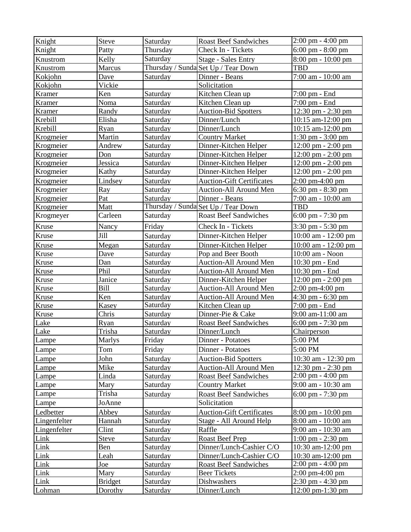| Knight         | Steve                     | Saturday               | <b>Roast Beef Sandwiches</b>        | $2:00 \text{ pm} - 4:00 \text{ pm}$     |
|----------------|---------------------------|------------------------|-------------------------------------|-----------------------------------------|
| Knight         | Patty                     | Thursday               | Check In - Tickets                  | 6:00 pm - 8:00 pm                       |
| Knustrom       | Kelly                     | $\overline{S}$ aturday | <b>Stage - Sales Entry</b>          | 8:00 pm - 10:00 pm                      |
| Knustrom       | Marcus                    |                        | Thursday / Sunda Set Up / Tear Down | <b>TBD</b>                              |
| Kokjohn        | Dave                      | Saturday               | Dinner - Beans                      | 7:00 am - 10:00 am                      |
| Kokjohn        | Vickie                    |                        | Solicitation                        |                                         |
| Kramer         | Ken                       | Saturday               | Kitchen Clean up                    | $7:00 \text{ pm}$ - End                 |
| Kramer         | Noma                      | Saturday               | Kitchen Clean up                    | 7:00 pm - End                           |
| Kramer         | Randy                     | Saturday               | <b>Auction-Bid Spotters</b>         | 12:30 pm - 2:30 pm                      |
| Krebill        | Elisha                    | Saturday               | Dinner/Lunch                        | 10:15 am-12:00 pm                       |
| Krebill        | Ryan                      | Saturday               | Dinner/Lunch                        | $10:15$ am- $12:00$ pm                  |
| Krogmeier      | Martin                    | Saturday               | <b>Country Market</b>               | $1:30 \text{ pm} - 3:00 \text{ pm}$     |
| Krogmeier      | Andrew                    | Saturday               | Dinner-Kitchen Helper               | $12:00 \text{ pm} - 2:00 \text{ pm}$    |
| Krogmeier      | Don                       | Saturday               | Dinner-Kitchen Helper               | 12:00 pm - 2:00 pm                      |
| Krogmeier      | Jessica                   | Saturday               | Dinner-Kitchen Helper               | $12:00 \text{ pm} - 2:00 \text{ pm}$    |
| Krogmeier      | Kathy                     | Saturday               | Dinner-Kitchen Helper               | 12:00 pm - 2:00 pm                      |
| Krogmeier      | Lindsey                   | Saturday               | <b>Auction-Gift Certificates</b>    | $2:00 \text{ pm}-4:00 \text{ pm}$       |
| Krogmeier      | Ray                       | Saturday               | Auction-All Around Men              | $6:30$ pm $-8:30$ pm                    |
| Krogmeier      | Pat                       | Saturday               | Dinner - Beans                      | 7:00 am - 10:00 am                      |
| Krogmeier      | Matt                      |                        | Thursday / Sunda Set Up / Tear Down | <b>TBD</b>                              |
| Krogmeyer      | Carleen                   | Saturday               | <b>Roast Beef Sandwiches</b>        | 6:00 pm - 7:30 pm                       |
| Kruse          | Nancy                     | Friday                 | Check In - Tickets                  | $3:30 \text{ pm} - 5:30 \text{ pm}$     |
| Kruse          | Jill                      | Saturday               | Dinner-Kitchen Helper               | 10:00 am - 12:00 pm                     |
| Kruse          | Megan                     | Saturday               | Dinner-Kitchen Helper               | 10:00 am - 12:00 pm                     |
| Kruse          | Dave                      | Saturday               | Pop and Beer Booth                  | 10:00 am - Noon                         |
| Kruse          | Dan                       | Saturday               | Auction-All Around Men              | 10:30 pm - End                          |
|                |                           |                        |                                     |                                         |
| Kruse          | Phil                      | Saturday               | Auction-All Around Men              | 10:30 pm - End                          |
| Kruse          | Janice                    | Saturday               | Dinner-Kitchen Helper               | 12:00 pm - 2:00 pm                      |
| Kruse          | Bill                      | Saturday               | Auction-All Around Men              | 2:00 pm-4:00 pm                         |
| Kruse          | Ken                       | Saturday               | Auction-All Around Men              | $4:30$ pm $-6:30$ pm                    |
| Kruse          | Kasey                     | Saturday               | Kitchen Clean up                    | 7:00 pm - End                           |
| Kruse          | Chris                     | Saturday               | Dinner-Pie & Cake                   | 9:00 am-11:00 am                        |
| Lake           | <b>Ryan</b>               | Saturday               | <b>Roast Beef Sandwiches</b>        | $6:00 \text{ pm} - 7:30 \text{ pm}$     |
| Lake           | <u>Trisha</u>             | Saturday               | Dinner/Lunch                        | Chairperson                             |
| Lampe          | Marlys                    | Friday                 | Dinner - Potatoes                   | 5:00 PM                                 |
| Lampe          | Tom                       | Friday                 | Dinner - Potatoes                   | 5:00 PM                                 |
| Lampe          | John                      | Saturday               | <b>Auction-Bid Spotters</b>         | 10:30 am - 12:30 pm                     |
| Lampe          | Mike                      | Saturday               | <b>Auction-All Around Men</b>       | $12:30 \text{ pm} - 2:30 \text{ pm}$    |
| Lampe          | Linda                     | Saturday               | <b>Roast Beef Sandwiches</b>        | $2:00 \text{ pm} - 4:00 \text{ pm}$     |
| Lampe          | Mary                      | Saturday               | <b>Country Market</b>               | 9:00 am - 10:30 am                      |
| Lampe          | Trisha                    | Saturday               | <b>Roast Beef Sandwiches</b>        | $6:00 \text{ pm} - 7:30 \text{ pm}$     |
| Lampe          | JoAnne                    |                        | Solicitation                        |                                         |
| Ledbetter      | Abbey                     | Saturday               | <b>Auction-Gift Certificates</b>    | $8:00 \text{ pm} - 10:00 \text{ pm}$    |
| Lingenfelter   | Hannah                    | Saturday               | Stage - All Around Help             | 8:00 am - 10:00 am                      |
| Lingenfelter   | Clint                     | Saturday               | Raffle                              | 9:00 am - 10:30 am                      |
| Link           | Steve                     | Saturday               | <b>Roast Beef Prep</b>              | $1:00 \text{ pm} - 2:30 \text{ pm}$     |
| Link           | <b>Ben</b>                | Saturday               | Dinner/Lunch-Cashier C/O            | 10:30 am-12:00 pm                       |
| Link           | Leah                      | Saturday               | Dinner/Lunch-Cashier C/O            | 10:30 am-12:00 pm                       |
| Link           | Joe                       | Saturday               | <b>Roast Beef Sandwiches</b>        | 2:00 pm - 4:00 pm                       |
| Link           | Mary                      | Saturday               | <b>Beer Tickets</b>                 | $2:00 \text{ pm}-4:00 \text{ pm}$       |
| Link<br>Lohman | <b>Bridget</b><br>Dorothy | Saturday<br>Saturday   | Dishwashers<br>Dinner/Lunch         | 2:30 pm - 4:30 pm<br>$12:00$ pm-1:30 pm |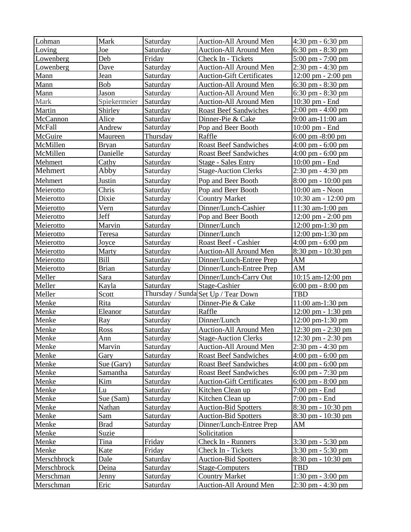| Lohman           | Mark          | Saturday             | Auction-All Around Men                                       | $4:30$ pm $-6:30$ pm                                                       |
|------------------|---------------|----------------------|--------------------------------------------------------------|----------------------------------------------------------------------------|
| Loving           | Joe           | Saturday             | Auction-All Around Men                                       | $6:30$ pm $-8:30$ pm                                                       |
| Lowenberg        | Deb           | Friday               | Check In - Tickets                                           | $5:00 \text{ pm} - 7:00 \text{ pm}$                                        |
| Lowenberg        | Dave          | Saturday             | Auction-All Around Men                                       | 2:30 pm - 4:30 pm                                                          |
| Mann             | Jean          | Saturday             | <b>Auction-Gift Certificates</b>                             | 12:00 pm - 2:00 pm                                                         |
| Mann             | Bob           | Saturday             | Auction-All Around Men                                       | $6:30 \text{ pm} - 8:30 \text{ pm}$                                        |
| Mann             | Jason         | Saturday             | Auction-All Around Men                                       | $6:30$ pm $-8:30$ pm                                                       |
| Mark             | Spiekermeier  | Saturday             | Auction-All Around Men                                       | 10:30 pm - End                                                             |
| Martin           | Shirley       | Saturday             | <b>Roast Beef Sandwiches</b>                                 | $2:00 \text{ pm} - 4:00 \text{ pm}$                                        |
| McCannon         | Alice         | Saturday             | Dinner-Pie & Cake                                            | 9:00 am-11:00 am                                                           |
| McFall           | Andrew        | Saturday             | Pop and Beer Booth                                           | 10:00 pm - End                                                             |
| McGuire          | Maureen       | Thursday             | Raffle                                                       | $6:00 \text{ pm } -8:00 \text{ pm}$                                        |
| McMillen         | <b>Bryan</b>  | Saturday             | <b>Roast Beef Sandwiches</b>                                 | $4:00 \text{ pm} - 6:00 \text{ pm}$                                        |
| McMillen         | Danielle      | Saturday             | <b>Roast Beef Sandwiches</b>                                 | $4:00 \text{ pm} - 6:00 \text{ pm}$                                        |
| Mehmert          | Cathy         | Saturday             | <b>Stage - Sales Entry</b>                                   | $10:00$ pm $-$ End                                                         |
| Mehmert          | Abby          | Saturday             | <b>Stage-Auction Clerks</b>                                  | 2:30 pm - 4:30 pm                                                          |
| Mehmert          | Justin        | Saturday             | Pop and Beer Booth                                           | $8:00 \text{ pm} - 10:00 \text{ pm}$                                       |
| Meierotto        | Chris         | Saturday             | Pop and Beer Booth                                           | 10:00 am - Noon                                                            |
| Meierotto        | Dixie         | Saturday             | <b>Country Market</b>                                        | 10:30 am - 12:00 pm                                                        |
| Meierotto        | Vern          | Saturday             | Dinner/Lunch-Cashier                                         | 11:30 am-1:00 pm                                                           |
| Meierotto        | Jeff          | Saturday             | Pop and Beer Booth                                           | $12:00 \text{ pm} - 2:00 \text{ pm}$                                       |
| Meierotto        | Marvin        | Saturday             | Dinner/Lunch                                                 | 12:00 pm-1:30 pm                                                           |
| Meierotto        | Teresa        | Saturday             | Dinner/Lunch                                                 | 12:00 pm-1:30 pm                                                           |
| Meierotto        | Joyce         | Saturday             | Roast Beef - Cashier                                         | 4:00 pm $-6:00$ pm                                                         |
| Meierotto        | Marty         | Saturday             | Auction-All Around Men                                       | 8:30 pm - 10:30 pm                                                         |
| Meierotto        | Bill          | Saturday             | Dinner/Lunch-Entree Prep                                     | AM                                                                         |
|                  |               |                      |                                                              |                                                                            |
|                  |               |                      |                                                              |                                                                            |
| Meierotto        | <b>Brian</b>  | Saturday             | Dinner/Lunch-Entree Prep                                     | AM                                                                         |
| Meller           | Sara          | Saturday             | Dinner/Lunch-Carry Out                                       | 10:15 am-12:00 pm                                                          |
| Meller<br>Meller | Kayla         | Saturday             | Stage-Cashier                                                | $6:00 \text{ pm} - 8:00 \text{ pm}$<br><b>TBD</b>                          |
|                  | Scott<br>Rita |                      | Thursday / Sunda Set Up / Tear Down                          | 11:00 am-1:30 pm                                                           |
| Menke            |               | Saturday             | Dinner-Pie & Cake                                            |                                                                            |
| Menke<br>Menke   | Eleanor       | Saturday             | Raffle<br>Dinner/Lunch                                       | $12:00 \text{ pm} - 1:30 \text{ pm}$                                       |
|                  | Ray           | Saturday             |                                                              | 12:00 pm-1:30 pm                                                           |
| Menke            | Ross          | Saturday             | Auction-All Around Men                                       | $12:30 \text{ pm} - 2:30 \text{ pm}$                                       |
| Menke            | Ann<br>Marvin | Saturday<br>Saturday | <b>Stage-Auction Clerks</b><br><b>Auction-All Around Men</b> | 12:30 pm - 2:30 pm                                                         |
| Menke<br>Menke   | Gary          |                      | <b>Roast Beef Sandwiches</b>                                 | $2:30 \text{ pm} - 4:30 \text{ pm}$<br>$4:00 \text{ pm} - 6:00 \text{ pm}$ |
| Menke            | Sue (Gary)    | Saturday             | <b>Roast Beef Sandwiches</b>                                 | $4:00 \text{ pm} - 6:00 \text{ pm}$                                        |
|                  | Samantha      | Saturday<br>Saturday | <b>Roast Beef Sandwiches</b>                                 |                                                                            |
| Menke            | Kim           |                      | <b>Auction-Gift Certificates</b>                             | $6:00 \text{ pm} - 7:30 \text{ pm}$                                        |
| Menke<br>Menke   | Lu            | Saturday             | Kitchen Clean up                                             | 6:00 pm - $8:00$ pm<br>7:00 pm - End                                       |
| Menke            | Sue (Sam)     | Saturday             |                                                              | $7:00 \text{ pm}$ - End                                                    |
| Menke            | Nathan        | Saturday<br>Saturday | Kitchen Clean up                                             |                                                                            |
| Menke            | Sam           | Saturday             | <b>Auction-Bid Spotters</b><br><b>Auction-Bid Spotters</b>   | 8:30 pm - 10:30 pm<br>$8:30 \text{ pm} - 10:30 \text{ pm}$                 |
| Menke            | <b>Brad</b>   | Saturday             | Dinner/Lunch-Entree Prep                                     | AM                                                                         |
| Menke            | Suzie         |                      | Solicitation                                                 |                                                                            |
| Menke            | Tina          | Friday               | Check In - Runners                                           | 3:30 pm - 5:30 pm                                                          |
| Menke            | Kate          | Friday               | Check In - Tickets                                           | $3:30 \text{ pm} - 5:30 \text{ pm}$                                        |
| Merschbrock      | Dale          | Saturday             | <b>Auction-Bid Spotters</b>                                  | $8:30 \text{ pm} - 10:30 \text{ pm}$                                       |
| Merschbrock      | Deina         | Saturday             | Stage-Computers                                              | <b>TBD</b>                                                                 |
| Merschman        | <b>Jenny</b>  | Saturday             | <b>Country Market</b>                                        | $1:30 \text{ pm} - 3:00 \text{ pm}$                                        |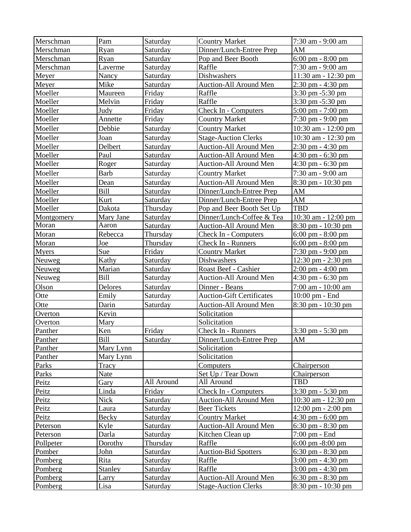| Merschman    | Pam          | Saturday        | <b>Country Market</b>            | 7:30 am - 9:00 am                    |
|--------------|--------------|-----------------|----------------------------------|--------------------------------------|
| Merschman    | Ryan         | Saturday        | Dinner/Lunch-Entree Prep         | AM                                   |
| Merschman    | Ryan         | Saturday        | Pop and Beer Booth               | 6:00 pm - 8:00 pm                    |
| Merschman    | Laverme      | Saturday        | Raffle                           | 7:30 am - 9:00 am                    |
| Meyer        | Nancy        | Saturday        | Dishwashers                      | 11:30 am - 12:30 pm                  |
| Meyer        | Mike         | Saturday        | Auction-All Around Men           | 2:30 pm - 4:30 pm                    |
| Moeller      | Maureen      | Friday          | Raffle                           | 3:30 pm -5:30 pm                     |
| Moeller      | Melvin       | Friday          | Raffle                           | 3:30 pm -5:30 pm                     |
| Moeller      | Judy         | Friday          | Check In - Computers             | 5:00 pm - 7:00 pm                    |
| Moeller      | Annette      | Friday          | <b>Country Market</b>            | 7:30 pm - 9:00 pm                    |
| Moeller      | Debbie       | Saturday        | <b>Country Market</b>            | 10:30 am - 12:00 pm                  |
| Moeller      | Joan         | Saturday        | <b>Stage-Auction Clerks</b>      | 10:30 am - 12:30 pm                  |
| Moeller      | Delbert      | Saturday        | Auction-All Around Men           | 2:30 pm - 4:30 pm                    |
| Moeller      | Paul         | Saturday        | Auction-All Around Men           | 4:30 pm - 6:30 pm                    |
| Moeller      | Roger        | Saturday        | Auction-All Around Men           | 4:30 pm - 6:30 pm                    |
| Moeller      | <b>Barb</b>  | Saturday        | <b>Country Market</b>            | 7:30 am - 9:00 am                    |
| Moeller      | Dean         | Saturday        | Auction-All Around Men           | $8:30 \text{ pm} - 10:30 \text{ pm}$ |
| Moeller      | <b>Bill</b>  | Saturday        | Dinner/Lunch-Entree Prep         | AM                                   |
| Moeller      | Kurt         | Saturday        | Dinner/Lunch-Entree Prep         | AM                                   |
| Moeller      | Dakota       | Thursday        | Pop and Beer Booth Set Up        | <b>TBD</b>                           |
| Montgomery   | Mary Jane    | Saturday        | Dinner/Lunch-Coffee & Tea        | 10:30 am - 12:00 pm                  |
| Moran        | Aaron        | Saturday        | Auction-All Around Men           | 8:30 pm - 10:30 pm                   |
| Moran        | Rebecca      | Thursday        | Check In - Computers             | $6:00 \text{ pm} - 8:00 \text{ pm}$  |
| Moran        | Joe          | Thursday        | Check In - Runners               | 6:00 pm $-8:00$ pm                   |
| <b>Myers</b> | Sue          | Friday          | <b>Country Market</b>            | 7:30 pm - 9:00 pm                    |
| Neuweg       | Kathy        | Saturday        | Dishwashers                      | 12:30 pm - 2:30 pm                   |
| Neuweg       | Marian       | Saturday        | Roast Beef - Cashier             | $2:00 \text{ pm} - 4:00 \text{ pm}$  |
| Neuweg       | <b>Bill</b>  | Saturday        | Auction-All Around Men           | $4:30 \text{ pm} - 6:30 \text{ pm}$  |
| Olson        | Delores      | Saturday        | Dinner - Beans                   | 7:00 am - 10:00 am                   |
| Otte         | Emily        | Saturday        | <b>Auction-Gift Certificates</b> | 10:00 pm - End                       |
| Otte         | Darin        | Saturday        | Auction-All Around Men           | 8:30 pm - 10:30 pm                   |
| Overton      | Kevin        |                 | Solicitation                     |                                      |
| Overton      | Mary         |                 | Solicitation                     |                                      |
| Panther      | Ken          | Friday          | Check In - Runners               | $3:30 \text{ pm} - 5:30 \text{ pm}$  |
| Panther      | Bill         | <u>Saturday</u> | Dinner/Lunch-Entree Prep         | AM                                   |
| Panther      | Mary Lynn    |                 | Solicitation                     |                                      |
| Panther      | Mary Lynn    |                 | Solicitation                     |                                      |
| Parks        | Tracy        |                 | Computers                        | Chairperson                          |
| Parks        | <b>Nate</b>  |                 | Set Up / Tear Down               | Chairperson                          |
| Peitz        | <b>Gary</b>  | All Around      | All Around                       | <b>TBD</b>                           |
| Peitz        | Linda        | Friday          | Check In - Computers             | 3:30 pm - 5:30 pm                    |
| Peitz        | Nick         | Saturday        | Auction-All Around Men           | 10:30 am - 12:30 pm                  |
| Peitz        | Laura        | Saturday        | <b>Beer Tickets</b>              | $12:00 \text{ pm} - 2:00 \text{ pm}$ |
| Peitz        | <b>Becky</b> | Saturday        | <b>Country Market</b>            | $4:30$ pm - $6:00$ pm                |
| Peterson     | Kyle         | Saturday        | Auction-All Around Men           | $6:30$ pm $-8:30$ pm                 |
| Peterson     | Darla        | Saturday        | Kitchen Clean up                 | 7:00 pm - End                        |
| Pollpeter    | Dorothy      | Thursday        | Raffle                           | $6:00 \text{ pm } -8:00 \text{ pm}$  |
| Pomber       | John         | Saturday        | <b>Auction-Bid Spotters</b>      | $6:30 \text{ pm} - 8:30 \text{ pm}$  |
| Pomberg      | Rita         | Saturday        | Raffle                           | $3:00 \text{ pm} - 4:30 \text{ pm}$  |
| Pomberg      | Stanley      | Saturday        | Raffle                           | 3:00 pm - 4:30 pm                    |
| Pomberg      | Larry        | Saturday        | Auction-All Around Men           | $6:30$ pm $-8:30$ pm                 |
| Pomberg      | Lisa         | Saturday        | <b>Stage-Auction Clerks</b>      | 8:30 pm - 10:30 pm                   |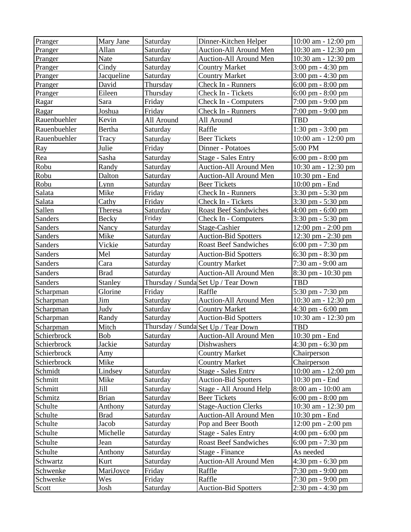| Pranger      | Mary Jane    | Saturday   | Dinner-Kitchen Helper               | $10:00$ am - $12:00$ pm              |
|--------------|--------------|------------|-------------------------------------|--------------------------------------|
| Pranger      | Allan        | Saturday   | Auction-All Around Men              | 10:30 am - 12:30 pm                  |
| Pranger      | Nate         | Saturday   | Auction-All Around Men              | 10:30 am - 12:30 pm                  |
| Pranger      | Cindy        | Saturday   | <b>Country Market</b>               | 3:00 pm - 4:30 pm                    |
| Pranger      | Jacqueline   | Saturday   | <b>Country Market</b>               | $3:00 \text{ pm} - 4:30 \text{ pm}$  |
| Pranger      | David        | Thursday   | Check In - Runners                  | $6:00 \text{ pm} - 8:00 \text{ pm}$  |
| Pranger      | Eileen       | Thursday   | Check In - Tickets                  | $6:00 \text{ pm} - 8:00 \text{ pm}$  |
| Ragar        | Sara         | Friday     | Check In - Computers                | 7:00 pm - 9:00 pm                    |
| Ragar        | Joshua       | Friday     | Check In - Runners                  | 7:00 pm - 9:00 pm                    |
| Rauenbuehler | Kevin        | All Around | All Around                          | <b>TBD</b>                           |
| Rauenbuehler | Bertha       | Saturday   | Raffle                              | $1:30$ pm $-3:00$ pm                 |
| Rauenbuehler | Tracy        | Saturday   | <b>Beer Tickets</b>                 | 10:00 am - 12:00 pm                  |
| Ray          | Julie        | Friday     | Dinner - Potatoes                   | 5:00 PM                              |
| Rea          | Sasha        | Saturday   | <b>Stage - Sales Entry</b>          | $6:00 \text{ pm} - 8:00 \text{ pm}$  |
| Robu         | Randy        | Saturday   | Auction-All Around Men              | 10:30 am - 12:30 pm                  |
| Robu         | Dalton       | Saturday   | <b>Auction-All Around Men</b>       | 10:30 pm - End                       |
| Robu         | Lynn         | Saturday   | <b>Beer Tickets</b>                 | 10:00 pm - End                       |
| Salata       | Mike         | Friday     | Check In - Runners                  | 3:30 pm - 5:30 pm                    |
| Salata       | Cathy        | Friday     | Check In - Tickets                  | $3:30$ pm $-5:30$ pm                 |
| Sallen       | Theresa      | Saturday   | <b>Roast Beef Sandwiches</b>        | $4:00 \text{ pm} - 6:00 \text{ pm}$  |
| Sanders      | Becky        | Friday     | Check In - Computers                | 3:30 pm - 5:30 pm                    |
| Sanders      | Nancy        | Saturday   | Stage-Cashier                       | $12:00 \text{ pm} - 2:00 \text{ pm}$ |
| Sanders      | Mike         | Saturday   | <b>Auction-Bid Spotters</b>         | 12:30 pm - 2:30 pm                   |
| Sanders      | Vickie       | Saturday   | <b>Roast Beef Sandwiches</b>        | $6:00 \text{ pm} - 7:30 \text{ pm}$  |
| Sanders      | Mel          | Saturday   | <b>Auction-Bid Spotters</b>         | 6:30 pm - 8:30 pm                    |
| Sanders      | Cara         | Saturday   | <b>Country Market</b>               | 7:30 am - 9:00 am                    |
| Sanders      | <b>Brad</b>  | Saturday   | <b>Auction-All Around Men</b>       | 8:30 pm - 10:30 pm                   |
| Sanders      | Stanley      |            | Thursday / Sunda Set Up / Tear Down | <b>TBD</b>                           |
| Scharpman    | Glorine      | Friday     | Raffle                              | 5:30 pm - 7:30 pm                    |
| Scharpman    | Jim          | Saturday   | Auction-All Around Men              | 10:30 am - 12:30 pm                  |
| Scharpman    | Judy         | Saturday   | <b>Country Market</b>               | $4:30$ pm - 6:00 pm                  |
| Scharpman    | Randy        | Saturday   | <b>Auction-Bid Spotters</b>         | 10:30 am - 12:30 pm                  |
| Scharpman    | Mitch        |            | Thursday / Sunda Set Up / Tear Down | <b>TBD</b>                           |
| Schierbrock  | <b>Bob</b>   | Saturday   | Auction-All Around Men              | 10:30 pm - End                       |
| Schierbrock  | Jackie       | Saturday   | Dishwashers                         | 4:30 pm - 6:30 pm                    |
| Schierbrock  | Amy          |            | <b>Country Market</b>               | Chairperson                          |
| Schierbrock  | Mike         |            | Country Market                      | Chairperson                          |
| Schmidt      | Lindsey      | Saturday   | <b>Stage - Sales Entry</b>          | 10:00 am - 12:00 pm                  |
| Schmitt      | Mike         | Saturday   | <b>Auction-Bid Spotters</b>         | $10:30 \text{ pm}$ - End             |
| Schmitt      | Jill         | Saturday   | Stage - All Around Help             | 8:00 am - 10:00 am                   |
| Schmitz      | <b>Brian</b> | Saturday   | <b>Beer Tickets</b>                 | 6:00 pm - $8:00$ pm                  |
| Schulte      | Anthony      | Saturday   | <b>Stage-Auction Clerks</b>         | 10:30 am - 12:30 pm                  |
| Schulte      | <b>Brad</b>  | Saturday   | Auction-All Around Men              | 10:30 pm - End                       |
| Schulte      | Jacob        | Saturday   | Pop and Beer Booth                  | 12:00 pm - 2:00 pm                   |
| Schulte      | Michelle     | Saturday   | <b>Stage - Sales Entry</b>          | $4:00 \text{ pm} - 6:00 \text{ pm}$  |
| Schulte      | Jean         | Saturday   | <b>Roast Beef Sandwiches</b>        | 6:00 pm - 7:30 pm                    |
| Schulte      | Anthony      | Saturday   | Stage - Finance                     | As needed                            |
| Schwartz     | Kurt         | Saturday   | Auction-All Around Men              | 4:30 pm - 6:30 pm                    |
| Schwenke     | MariJoyce    | Friday     | Raffle                              | 7:30 pm - 9:00 pm                    |
| Schwenke     | Wes          | Friday     | Raffle                              | $7:30 \text{ pm} - 9:00 \text{ pm}$  |
| Scott        | <u>Josh</u>  | Saturday   | <b>Auction-Bid Spotters</b>         | $2:30 \text{ pm} - 4:30 \text{ pm}$  |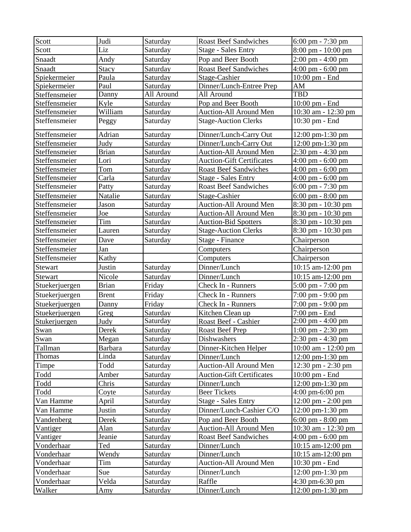| Scott          | Judi           | Saturday   | <b>Roast Beef Sandwiches</b>     | $6:00 \text{ pm} - 7:30 \text{ pm}$  |
|----------------|----------------|------------|----------------------------------|--------------------------------------|
| Scott          | Liz            | Saturday   | <b>Stage - Sales Entry</b>       | 8:00 pm - 10:00 pm                   |
| Snaadt         | Andy           | Saturday   | Pop and Beer Booth               | $2:00 \text{ pm} - 4:00 \text{ pm}$  |
| Snaadt         | Stacy          | Saturday   | <b>Roast Beef Sandwiches</b>     | $4:00 \text{ pm} - 6:00 \text{ pm}$  |
| Spiekermeier   | Paula          | Saturday   | Stage-Cashier                    | 10:00 pm - End                       |
| Spiekermeier   | Paul           | Saturday   | Dinner/Lunch-Entree Prep         | ${\rm AM}$                           |
| Steffensmeier  | Danny          | All Around | All Around                       | <b>TBD</b>                           |
| Steffensmeier  | Kyle           | Saturday   | Pop and Beer Booth               | 10:00 pm - End                       |
| Steffensmeier  | William        | Saturday   | <b>Auction-All Around Men</b>    | 10:30 am - 12:30 pm                  |
| Steffensmeier  | Peggy          | Saturday   | <b>Stage-Auction Clerks</b>      | 10:30 pm - End                       |
| Steffensmeier  | Adrian         | Saturday   | Dinner/Lunch-Carry Out           | $12:00 \text{ pm-}1:30 \text{ pm}$   |
| Steffensmeier  | Judy           | Saturday   | Dinner/Lunch-Carry Out           | 12:00 pm-1:30 pm                     |
| Steffensmeier  | <b>Brian</b>   | Saturday   | Auction-All Around Men           | 2:30 pm - 4:30 pm                    |
| Steffensmeier  | Lori           | Saturday   | <b>Auction-Gift Certificates</b> | $4:00 \text{ pm} - 6:00 \text{ pm}$  |
| Steffensmeier  | Tom            | Saturday   | <b>Roast Beef Sandwiches</b>     | $4:00 \text{ pm} - 6:00 \text{ pm}$  |
| Steffensmeier  | Carla          | Saturday   | <b>Stage - Sales Entry</b>       | $4:00 \text{ pm} - 6:00 \text{ pm}$  |
| Steffensmeier  | Patty          | Saturday   | <b>Roast Beef Sandwiches</b>     | $6:00 \text{ pm} - 7:30 \text{ pm}$  |
| Steffensmeier  | Natalie        | Saturday   | Stage-Cashier                    | $6:00 \text{ pm} - 8:00 \text{ pm}$  |
| Steffensmeier  | Jason          | Saturday   | Auction-All Around Men           | 8:30 pm - 10:30 pm                   |
| Steffensmeier  | Joe            | Saturday   | Auction-All Around Men           | 8:30 pm - 10:30 pm                   |
| Steffensmeier  | Tim            | Saturday   | <b>Auction-Bid Spotters</b>      | 8:30 pm - 10:30 pm                   |
| Steffensmeier  | Lauren         | Saturday   | <b>Stage-Auction Clerks</b>      | 8:30 pm - 10:30 pm                   |
| Steffensmeier  | Dave           | Saturday   | Stage - Finance                  | Chairperson                          |
| Steffensmeier  | Jan            |            | Computers                        | Chairperson                          |
| Steffensmeier  | Kathy          |            | Computers                        | Chairperson                          |
| Stewart        | Justin         | Saturday   | Dinner/Lunch                     | 10:15 am-12:00 pm                    |
| Stewart        | Nicole         | Saturday   | Dinner/Lunch                     | 10:15 am-12:00 pm                    |
| Stuekerjuergen | <b>Brian</b>   | Friday     | Check In - Runners               | 5:00 pm - 7:00 pm                    |
| Stuekerjuergen | <b>Brent</b>   | Friday     | Check In - Runners               | 7:00 pm - 9:00 pm                    |
| Stuekerjuergen | Danny          | Friday     | Check In - Runners               | 7:00 pm - 9:00 pm                    |
| Stuekerjuergen | Greg           | Saturday   | Kitchen Clean up                 | 7:00 pm - End                        |
| Stukerjuergen  | Judy           | Saturday   | Roast Beef - Cashier             | 2:00 pm - 4:00 pm                    |
| <b>Swan</b>    | Derek          | Saturday   | <b>Roast Beef Prep</b>           | $1:00 \text{ pm} - 2:30 \text{ pm}$  |
| Swan           | Megan          | Saturday   | Dishwashers                      | 2:30 pm - 4:30 pm                    |
| Tallman        | <b>Barbara</b> | Saturday   | Dinner-Kitchen Helper            | 10:00 am - 12:00 pm                  |
| Thomas         | Linda          | Saturday   | Dinner/Lunch                     | 12:00 pm-1:30 pm                     |
| Timpe          | Todd           | Saturday   | Auction-All Around Men           | 12:30 pm - 2:30 pm                   |
| Todd           | Amber          | Saturday   | <b>Auction-Gift Certificates</b> | $10:00$ pm - End                     |
| Todd           | Chris          | Saturday   | Dinner/Lunch                     | 12:00 pm-1:30 pm                     |
| Todd           | Coyte          | Saturday   | <b>Beer Tickets</b>              | $4:00 \text{ pm}-6:00 \text{ pm}$    |
| Van Hamme      | April          | Saturday   | <b>Stage - Sales Entry</b>       | $12:00 \text{ pm} - 2:00 \text{ pm}$ |
| Van Hamme      | Justin         | Saturday   | Dinner/Lunch-Cashier C/O         | 12:00 pm-1:30 pm                     |
| Vandenberg     | Derek          | Saturday   | Pop and Beer Booth               | $6:00 \text{ pm} - 8:00 \text{ pm}$  |
| Vantiger       | Alan           | Saturday   | Auction-All Around Men           | 10:30 am - 12:30 pm                  |
| Vantiger       | Jeanie         | Saturday   | <b>Roast Beef Sandwiches</b>     | $4:00 \text{ pm} - 6:00 \text{ pm}$  |
| Vonderhaar     | Ted            | Saturday   | Dinner/Lunch                     | 10:15 am-12:00 pm                    |
| Vonderhaar     | Wendy          | Saturday   | Dinner/Lunch                     | $10:15$ am- $12:00$ pm               |
| Vonderhaar     | Tim            | Saturday   | Auction-All Around Men           | $10:30$ pm $-$ End                   |
| Vonderhaar     | Sue            | Saturday   | Dinner/Lunch                     | 12:00 pm-1:30 pm                     |
| Vonderhaar     | Velda          | Saturday   | Raffle                           | $4:30 \text{ pm}-6:30 \text{ pm}$    |
| Walker         | Amy            | Saturday   | Dinner/Lunch                     | $12:00 \text{ pm-}1:30 \text{ pm}$   |
|                |                |            |                                  |                                      |